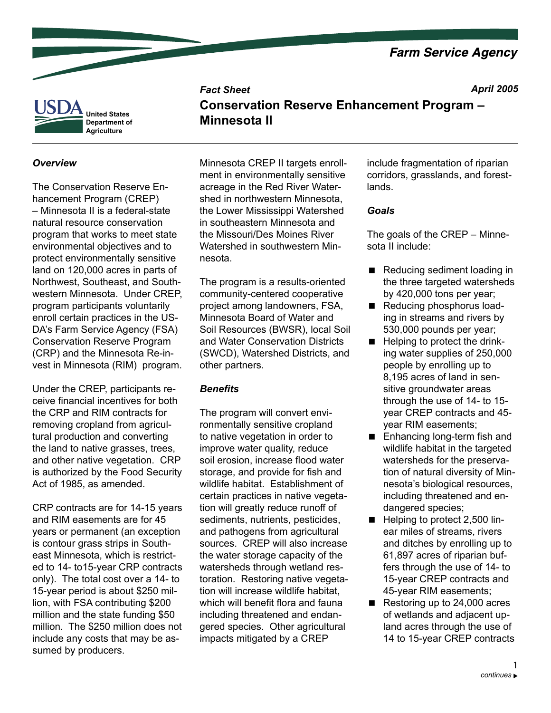**Farm Service Agency** 

*April 2005*



### *Overview*

The Conservation Reserve Enhancement Program (CREP) – Minnesota II is a federal-state natural resource conservation program that works to meet state environmental objectives and to protect environmentally sensitive land on 120,000 acres in parts of Northwest, Southeast, and Southwestern Minnesota. Under CREP, program participants voluntarily enroll certain practices in the US-DA's Farm Service Agency (FSA) Conservation Reserve Program (CRP) and the Minnesota Re-invest in Minnesota (RIM) program.

Under the CREP, participants receive financial incentives for both the CRP and RIM contracts for removing cropland from agricultural production and converting the land to native grasses, trees, and other native vegetation. CRP is authorized by the Food Security Act of 1985, as amended.

CRP contracts are for 14-15 years and RIM easements are for 45 years or permanent (an exception is contour grass strips in Southeast Minnesota, which is restricted to 14- to15-year CRP contracts only). The total cost over a 14- to 15-year period is about \$250 million, with FSA contributing \$200 million and the state funding \$50 million. The \$250 million does not include any costs that may be assumed by producers.

Minnesota CREP II targets enrollment in environmentally sensitive acreage in the Red River Watershed in northwestern Minnesota, the Lower Mississippi Watershed in southeastern Minnesota and the Missouri/Des Moines River Watershed in southwestern Minnesota.

The program is a results-oriented community-centered cooperative project among landowners, FSA, Minnesota Board of Water and Soil Resources (BWSR), local Soil and Water Conservation Districts (SWCD), Watershed Districts, and other partners.

### *Benefits*

*Fact Sheet*

**Minnesota II**

The program will convert environmentally sensitive cropland to native vegetation in order to improve water quality, reduce soil erosion, increase flood water storage, and provide for fish and wildlife habitat. Establishment of certain practices in native vegetation will greatly reduce runoff of sediments, nutrients, pesticides, and pathogens from agricultural sources. CREP will also increase the water storage capacity of the watersheds through wetland restoration. Restoring native vegetation will increase wildlife habitat, which will benefit flora and fauna including threatened and endangered species. Other agricultural impacts mitigated by a CREP

include fragmentation of riparian corridors, grasslands, and forestlands.

### *Goals*

**Conservation Reserve Enhancement Program –**

The goals of the CREP – Minnesota II include:

- Reducing sediment loading in the three targeted watersheds by 420,000 tons per year;
- Reducing phosphorus loading in streams and rivers by 530,000 pounds per year;
- Helping to protect the drinking water supplies of 250,000 people by enrolling up to 8,195 acres of land in sensitive groundwater areas through the use of 14- to 15 year CREP contracts and 45 year RIM easements;
- Enhancing long-term fish and wildlife habitat in the targeted watersheds for the preservation of natural diversity of Minnesota's biological resources, including threatened and endangered species; п
- Helping to protect 2,500 linear miles of streams, rivers and ditches by enrolling up to 61,897 acres of riparian buffers through the use of 14- to 15-year CREP contracts and 45-year RIM easements;
- Restoring up to 24,000 acres of wetlands and adjacent upland acres through the use of 14 to 15-year CREP contracts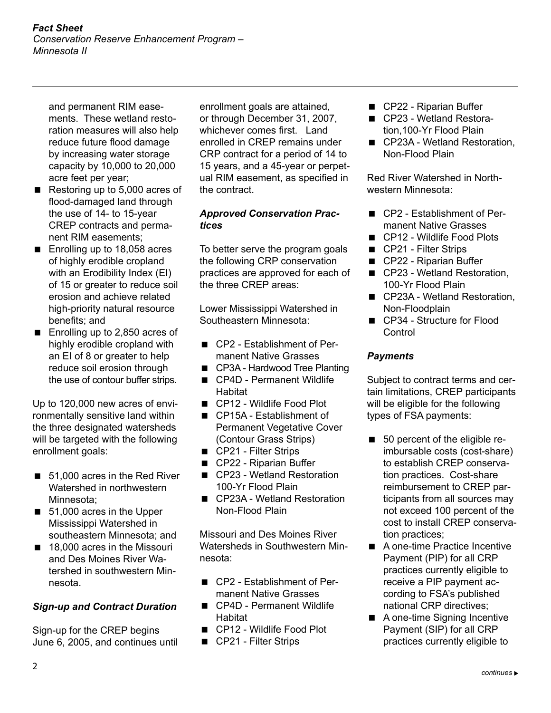and permanent RIM easements. These wetland restoration measures will also help reduce future flood damage by increasing water storage capacity by 10,000 to 20,000 acre feet per year;

- Restoring up to 5,000 acres of flood-damaged land through the use of 14- to 15-year CREP contracts and permanent RIM easements;  $\blacksquare$
- Enrolling up to 18,058 acres of highly erodible cropland with an Erodibility Index (EI) of 15 or greater to reduce soil erosion and achieve related high-priority natural resource benefits; and
- Enrolling up to 2,850 acres of highly erodible cropland with an EI of 8 or greater to help reduce soil erosion through the use of contour buffer strips.

Up to 120,000 new acres of environmentally sensitive land within the three designated watersheds will be targeted with the following enrollment goals:

- 51,000 acres in the Red River Watershed in northwestern Minnesota;
- 51,000 acres in the Upper Mississippi Watershed in southeastern Minnesota; and
- 18,000 acres in the Missouri and Des Moines River Watershed in southwestern Minnesota.

# *Sign-up and Contract Duration*

Sign-up for the CREP begins June 6, 2005, and continues until enrollment goals are attained, or through December 31, 2007, whichever comes first. Land enrolled in CREP remains under CRP contract for a period of 14 to 15 years, and a 45-year or perpetual RIM easement, as specified in the contract.

## *Approved Conservation Practices*

To better serve the program goals the following CRP conservation practices are approved for each of the three CREP areas:

Lower Mississippi Watershed in Southeastern Minnesota:

- CP2 Establishment of Permanent Native Grasses
- CP3A Hardwood Tree Planting
- CP4D Permanent Wildlife **Habitat**
- CP12 Wildlife Food Plot
- CP15A Establishment of Permanent Vegetative Cover (Contour Grass Strips)
- CP21 Filter Strips
- CP22 Riparian Buffer
- CP23 Wetland Restoration 100-Yr Flood Plain
- CP23A Wetland Restoration Non-Flood Plain

Missouri and Des Moines River Watersheds in Southwestern Minnesota:

- CP2 Establishment of Permanent Native Grasses
- CP4D Permanent Wildlife Habitat
- CP12 Wildlife Food Plot
- CP21 Filter Strips
- CP22 Riparian Buffer
- CP23 Wetland Restoration,100-Yr Flood Plain
- CP23A Wetland Restoration, Non-Flood Plain

Red River Watershed in Northwestern Minnesota:

- CP2 Establishment of Permanent Native Grasses
- CP12 Wildlife Food Plots
- CP21 Filter Strips
- CP22 Riparian Buffer
- CP23 Wetland Restoration, 100-Yr Flood Plain
- CP23A Wetland Restoration, Non-Floodplain
- CP34 Structure for Flood **Control**

## *Payments*

Subject to contract terms and certain limitations, CREP participants will be eligible for the following types of FSA payments:

- 50 percent of the eligible reimbursable costs (cost-share) to establish CREP conservation practices. Cost-share reimbursement to CREP participants from all sources may not exceed 100 percent of the cost to install CREP conservation practices;  $\blacksquare$
- A one-time Practice Incentive Payment (PIP) for all CRP practices currently eligible to receive a PIP payment according to FSA's published national CRP directives;
- A one-time Signing Incentive Payment (SIP) for all CRP practices currently eligible to